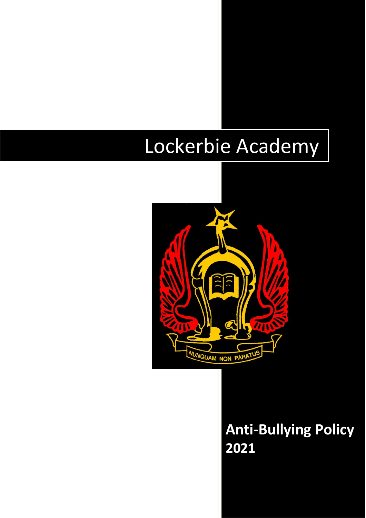# Lockerbie Academy



# **Anti-Bullying Policy 2021**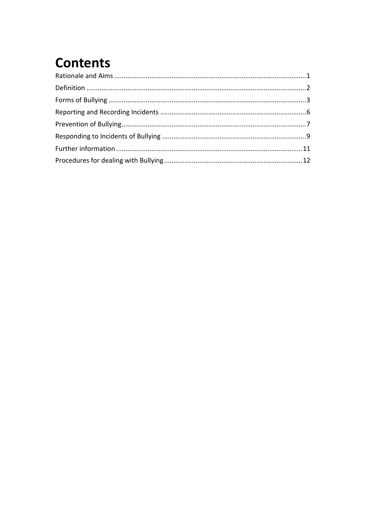## **Contents**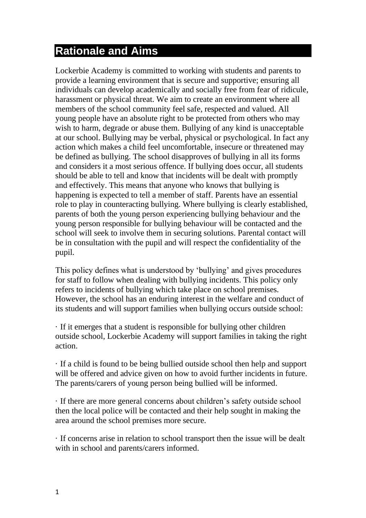### <span id="page-2-0"></span>**Rationale and Aims**

Lockerbie Academy is committed to working with students and parents to provide a learning environment that is secure and supportive; ensuring all individuals can develop academically and socially free from fear of ridicule, harassment or physical threat. We aim to create an environment where all members of the school community feel safe, respected and valued. All young people have an absolute right to be protected from others who may wish to harm, degrade or abuse them. Bullying of any kind is unacceptable at our school. Bullying may be verbal, physical or psychological. In fact any action which makes a child feel uncomfortable, insecure or threatened may be defined as bullying. The school disapproves of bullying in all its forms and considers it a most serious offence. If bullying does occur, all students should be able to tell and know that incidents will be dealt with promptly and effectively. This means that anyone who knows that bullying is happening is expected to tell a member of staff. Parents have an essential role to play in counteracting bullying. Where bullying is clearly established, parents of both the young person experiencing bullying behaviour and the young person responsible for bullying behaviour will be contacted and the school will seek to involve them in securing solutions. Parental contact will be in consultation with the pupil and will respect the confidentiality of the pupil.

This policy defines what is understood by 'bullying' and gives procedures for staff to follow when dealing with bullying incidents. This policy only refers to incidents of bullying which take place on school premises. However, the school has an enduring interest in the welfare and conduct of its students and will support families when bullying occurs outside school:

· If it emerges that a student is responsible for bullying other children outside school, Lockerbie Academy will support families in taking the right action.

· If a child is found to be being bullied outside school then help and support will be offered and advice given on how to avoid further incidents in future. The parents/carers of young person being bullied will be informed.

· If there are more general concerns about children's safety outside school then the local police will be contacted and their help sought in making the area around the school premises more secure.

· If concerns arise in relation to school transport then the issue will be dealt with in school and parents/carers informed.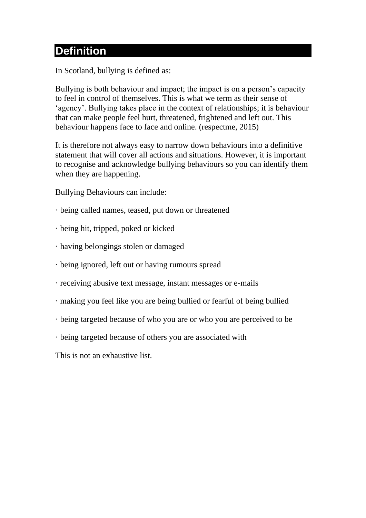### <span id="page-3-0"></span>**Definition**

In Scotland, bullying is defined as:

Bullying is both behaviour and impact; the impact is on a person's capacity to feel in control of themselves. This is what we term as their sense of 'agency'. Bullying takes place in the context of relationships; it is behaviour that can make people feel hurt, threatened, frightened and left out. This behaviour happens face to face and online. (respectme, 2015)

It is therefore not always easy to narrow down behaviours into a definitive statement that will cover all actions and situations. However, it is important to recognise and acknowledge bullying behaviours so you can identify them when they are happening.

Bullying Behaviours can include:

- · being called names, teased, put down or threatened
- · being hit, tripped, poked or kicked
- · having belongings stolen or damaged
- · being ignored, left out or having rumours spread
- · receiving abusive text message, instant messages or e-mails
- · making you feel like you are being bullied or fearful of being bullied
- · being targeted because of who you are or who you are perceived to be
- · being targeted because of others you are associated with

This is not an exhaustive list.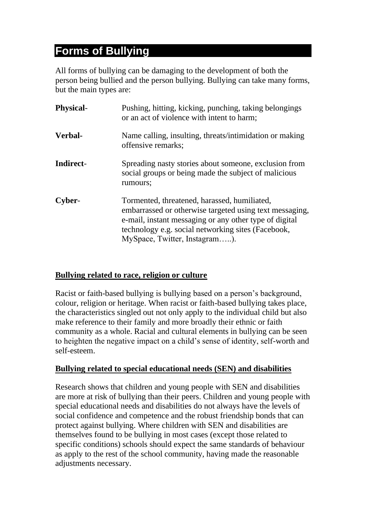### <span id="page-4-0"></span>**Forms of Bullying**

All forms of bullying can be damaging to the development of both the person being bullied and the person bullying. Bullying can take many forms, but the main types are:

| <b>Physical-</b> | Pushing, hitting, kicking, punching, taking belongings<br>or an act of violence with intent to harm;                                                                                                                                                     |
|------------------|----------------------------------------------------------------------------------------------------------------------------------------------------------------------------------------------------------------------------------------------------------|
| Verbal-          | Name calling, insulting, threats/intimidation or making<br>offensive remarks;                                                                                                                                                                            |
| Indirect-        | Spreading nasty stories about someone, exclusion from<br>social groups or being made the subject of malicious<br>rumours;                                                                                                                                |
| Cyber-           | Tormented, threatened, harassed, humiliated,<br>embarrassed or otherwise targeted using text messaging,<br>e-mail, instant messaging or any other type of digital<br>technology e.g. social networking sites (Facebook,<br>MySpace, Twitter, Instagram). |

#### **Bullying related to race, religion or culture**

Racist or faith-based bullying is bullying based on a person's background, colour, religion or heritage. When racist or faith-based bullying takes place, the characteristics singled out not only apply to the individual child but also make reference to their family and more broadly their ethnic or faith community as a whole. Racial and cultural elements in bullying can be seen to heighten the negative impact on a child's sense of identity, self-worth and self-esteem.

#### **Bullying related to special educational needs (SEN) and disabilities**

Research shows that children and young people with SEN and disabilities are more at risk of bullying than their peers. Children and young people with special educational needs and disabilities do not always have the levels of social confidence and competence and the robust friendship bonds that can protect against bullying. Where children with SEN and disabilities are themselves found to be bullying in most cases (except those related to specific conditions) schools should expect the same standards of behaviour as apply to the rest of the school community, having made the reasonable adjustments necessary.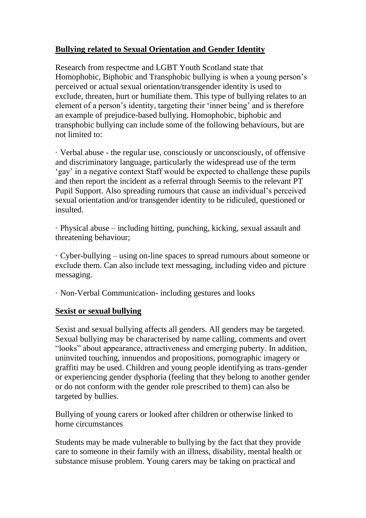### **Bullying related to Sexual Orientation and Gender Identity**

Research from respectme and LGBT Youth Scotland state that Homophobic, Biphobic and Transphobic bullying is when a young person's perceived or actual sexual orientation/transgender identity is used to exclude, threaten, hurt or humiliate them. This type of bullying relates to an element of a person's identity, targeting their 'inner being' and is therefore an example of prejudice-based bullying. Homophobic, biphobic and transphobic bullying can include some of the following behaviours, but are not limited to:

· Verbal abuse - the regular use, consciously or unconsciously, of offensive and discriminatory language, particularly the widespread use of the term 'gay' in a negative context Staff would be expected to challenge these pupils and then report the incident as a referral through Seemis to the relevant PT Pupil Support. Also spreading rumours that cause an individual's perceived sexual orientation and/or transgender identity to be ridiculed, questioned or insulted.

· Physical abuse – including hitting, punching, kicking, sexual assault and threatening behaviour;

· Cyber-bullying – using on-line spaces to spread rumours about someone or exclude them. Can also include text messaging, including video and picture messaging.

· Non-Verbal Communication- including gestures and looks

#### **Sexist or sexual bullying**

Sexist and sexual bullying affects all genders. All genders may be targeted. Sexual bullying may be characterised by name calling, comments and overt "looks" about appearance, attractiveness and emerging puberty. In addition, uninvited touching, innuendos and propositions, pornographic imagery or graffiti may be used. Children and young people identifying as trans-gender or experiencing gender dysphoria (feeling that they belong to another gender or do not conform with the gender role prescribed to them) can also be targeted by bullies.

Bullying of young carers or looked after children or otherwise linked to home circumstances

Students may be made vulnerable to bullying by the fact that they provide care to someone in their family with an illness, disability, mental health or substance misuse problem. Young carers may be taking on practical and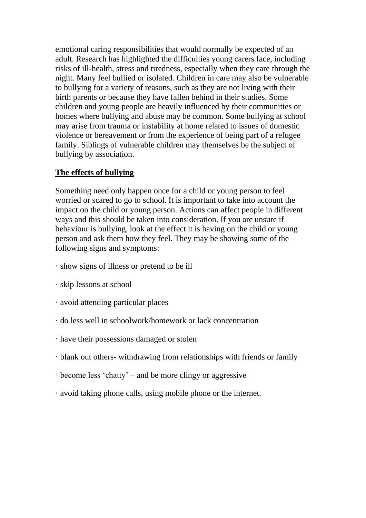emotional caring responsibilities that would normally be expected of an adult. Research has highlighted the difficulties young carers face, including risks of ill-health, stress and tiredness, especially when they care through the night. Many feel bullied or isolated. Children in care may also be vulnerable to bullying for a variety of reasons, such as they are not living with their birth parents or because they have fallen behind in their studies. Some children and young people are heavily influenced by their communities or homes where bullying and abuse may be common. Some bullying at school may arise from trauma or instability at home related to issues of domestic violence or bereavement or from the experience of being part of a refugee family. Siblings of vulnerable children may themselves be the subject of bullying by association.

#### **The effects of bullying**

Something need only happen once for a child or young person to feel worried or scared to go to school. It is important to take into account the impact on the child or young person. Actions can affect people in different ways and this should be taken into consideration. If you are unsure if behaviour is bullying, look at the effect it is having on the child or young person and ask them how they feel. They may be showing some of the following signs and symptoms:

- · show signs of illness or pretend to be ill
- · skip lessons at school
- · avoid attending particular places
- · do less well in schoolwork/homework or lack concentration
- · have their possessions damaged or stolen
- · blank out others- withdrawing from relationships with friends or family
- · become less 'chatty' and be more clingy or aggressive
- · avoid taking phone calls, using mobile phone or the internet.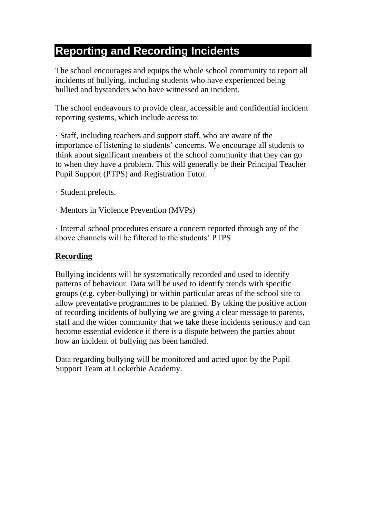### <span id="page-7-0"></span>**Reporting and Recording Incidents**

The school encourages and equips the whole school community to report all incidents of bullying, including students who have experienced being bullied and bystanders who have witnessed an incident.

The school endeavours to provide clear, accessible and confidential incident reporting systems, which include access to:

· Staff, including teachers and support staff, who are aware of the importance of listening to students' concerns. We encourage all students to think about significant members of the school community that they can go to when they have a problem. This will generally be their Principal Teacher Pupil Support (PTPS) and Registration Tutor.

- · Student prefects.
- · Mentors in Violence Prevention (MVPs)

· Internal school procedures ensure a concern reported through any of the above channels will be filtered to the students' PTPS

#### **Recording**

Bullying incidents will be systematically recorded and used to identify patterns of behaviour. Data will be used to identify trends with specific groups (e.g. cyber-bullying) or within particular areas of the school site to allow preventative programmes to be planned. By taking the positive action of recording incidents of bullying we are giving a clear message to parents, staff and the wider community that we take these incidents seriously and can become essential evidence if there is a dispute between the parties about how an incident of bullying has been handled.

Data regarding bullying will be monitored and acted upon by the Pupil Support Team at Lockerbie Academy.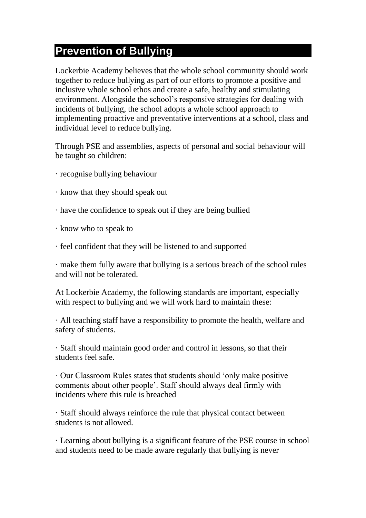### <span id="page-8-0"></span>**Prevention of Bullying**

Lockerbie Academy believes that the whole school community should work together to reduce bullying as part of our efforts to promote a positive and inclusive whole school ethos and create a safe, healthy and stimulating environment. Alongside the school's responsive strategies for dealing with incidents of bullying, the school adopts a whole school approach to implementing proactive and preventative interventions at a school, class and individual level to reduce bullying.

Through PSE and assemblies, aspects of personal and social behaviour will be taught so children:

- · recognise bullying behaviour
- · know that they should speak out
- · have the confidence to speak out if they are being bullied
- · know who to speak to
- · feel confident that they will be listened to and supported

· make them fully aware that bullying is a serious breach of the school rules and will not be tolerated.

At Lockerbie Academy, the following standards are important, especially with respect to bullying and we will work hard to maintain these:

· All teaching staff have a responsibility to promote the health, welfare and safety of students.

· Staff should maintain good order and control in lessons, so that their students feel safe.

· Our Classroom Rules states that students should 'only make positive comments about other people'. Staff should always deal firmly with incidents where this rule is breached

· Staff should always reinforce the rule that physical contact between students is not allowed.

· Learning about bullying is a significant feature of the PSE course in school and students need to be made aware regularly that bullying is never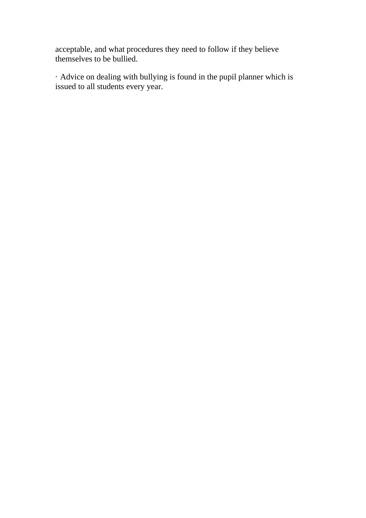acceptable, and what procedures they need to follow if they believe themselves to be bullied.

· Advice on dealing with bullying is found in the pupil planner which is issued to all students every year.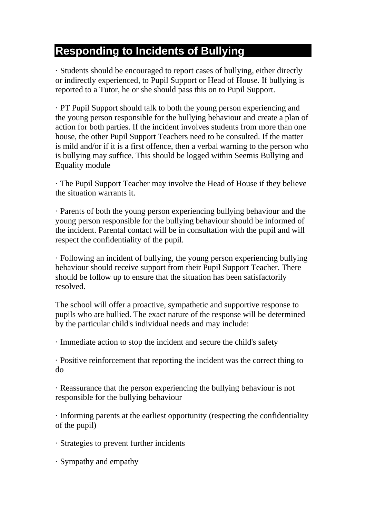### <span id="page-10-0"></span>**Responding to Incidents of Bullying**

· Students should be encouraged to report cases of bullying, either directly or indirectly experienced, to Pupil Support or Head of House. If bullying is reported to a Tutor, he or she should pass this on to Pupil Support.

· PT Pupil Support should talk to both the young person experiencing and the young person responsible for the bullying behaviour and create a plan of action for both parties. If the incident involves students from more than one house, the other Pupil Support Teachers need to be consulted. If the matter is mild and/or if it is a first offence, then a verbal warning to the person who is bullying may suffice. This should be logged within Seemis Bullying and Equality module

· The Pupil Support Teacher may involve the Head of House if they believe the situation warrants it.

· Parents of both the young person experiencing bullying behaviour and the young person responsible for the bullying behaviour should be informed of the incident. Parental contact will be in consultation with the pupil and will respect the confidentiality of the pupil.

· Following an incident of bullying, the young person experiencing bullying behaviour should receive support from their Pupil Support Teacher. There should be follow up to ensure that the situation has been satisfactorily resolved.

The school will offer a proactive, sympathetic and supportive response to pupils who are bullied. The exact nature of the response will be determined by the particular child's individual needs and may include:

· Immediate action to stop the incident and secure the child's safety

· Positive reinforcement that reporting the incident was the correct thing to do

· Reassurance that the person experiencing the bullying behaviour is not responsible for the bullying behaviour

· Informing parents at the earliest opportunity (respecting the confidentiality of the pupil)

· Strategies to prevent further incidents

· Sympathy and empathy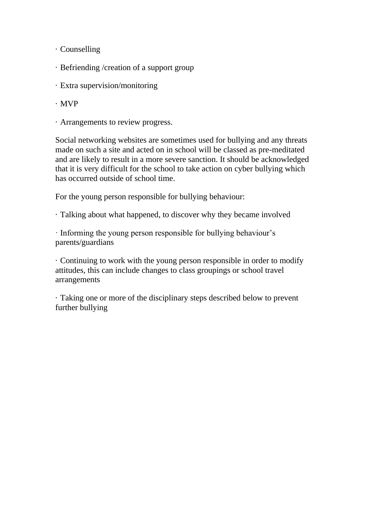- · Counselling
- · Befriending /creation of a support group
- · Extra supervision/monitoring
- · MVP
- · Arrangements to review progress.

Social networking websites are sometimes used for bullying and any threats made on such a site and acted on in school will be classed as pre-meditated and are likely to result in a more severe sanction. It should be acknowledged that it is very difficult for the school to take action on cyber bullying which has occurred outside of school time.

For the young person responsible for bullying behaviour:

· Talking about what happened, to discover why they became involved

· Informing the young person responsible for bullying behaviour's parents/guardians

· Continuing to work with the young person responsible in order to modify attitudes, this can include changes to class groupings or school travel arrangements

· Taking one or more of the disciplinary steps described below to prevent further bullying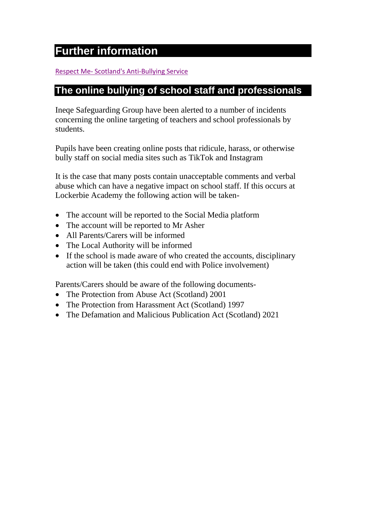### <span id="page-12-0"></span>**Further information**

#### Respect Me- [Scotland's Anti-Bullying Service](https://respectme.org.uk/)

### **The online bullying of school staff and professionals**

Ineqe Safeguarding Group have been alerted to a number of incidents concerning the online targeting of teachers and school professionals by students.

Pupils have been creating online posts that ridicule, harass, or otherwise bully staff on social media sites such as TikTok and Instagram

It is the case that many posts contain unacceptable comments and verbal abuse which can have a negative impact on school staff. If this occurs at Lockerbie Academy the following action will be taken-

- The account will be reported to the Social Media platform
- The account will be reported to Mr Asher
- All Parents/Carers will be informed
- The Local Authority will be informed
- If the school is made aware of who created the accounts, disciplinary action will be taken (this could end with Police involvement)

Parents/Carers should be aware of the following documents-

- The Protection from Abuse Act (Scotland) 2001
- The Protection from Harassment Act (Scotland) 1997
- The Defamation and Malicious Publication Act (Scotland) 2021